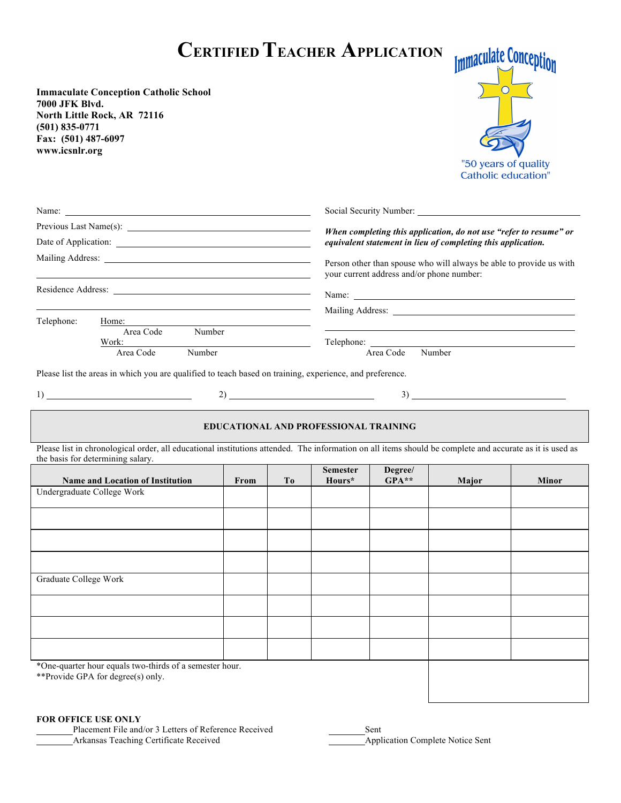# **CERTIFIED TEACHER APPLICATION**

**Immaculate Conception Catholic School 7000 JFK Blvd. North Little Rock, AR 72116 (501) 835-0771 Fax: (501) 487-6097 www.icsnlr.org**



|            |                     | Social Security Number:                                                                                          |  |  |
|------------|---------------------|------------------------------------------------------------------------------------------------------------------|--|--|
|            |                     | When completing this application, do not use "refer to resume" or                                                |  |  |
|            |                     | equivalent statement in lieu of completing this application.                                                     |  |  |
|            |                     | Person other than spouse who will always be able to provide us with<br>your current address and/or phone number: |  |  |
|            |                     | Name:                                                                                                            |  |  |
|            |                     |                                                                                                                  |  |  |
| Telephone: | Home:               |                                                                                                                  |  |  |
|            | Area Code<br>Number |                                                                                                                  |  |  |
|            | Work:               | Telephone: 2000                                                                                                  |  |  |
|            | Number<br>Area Code | Number<br>Area Code                                                                                              |  |  |
|            |                     |                                                                                                                  |  |  |

 $\sim$  Social Security Numbers:  $\sim$ 

Please list the areas in which you are qualified to teach based on training, experience, and preference.

 $1)$   $2)$   $3)$ 

#### **EDUCATIONAL AND PROFESSIONAL TRAINING**

Please list in chronological order, all educational institutions attended. The information on all items should be complete and accurate as it is used as the basis for determining salary.

| <b>Name and Location of Institution</b>                                                      | From | T <sub>0</sub> | <b>Semester</b><br>Hours* | Degree/<br>$GPA**$ | Major | <b>Minor</b> |
|----------------------------------------------------------------------------------------------|------|----------------|---------------------------|--------------------|-------|--------------|
| Undergraduate College Work                                                                   |      |                |                           |                    |       |              |
|                                                                                              |      |                |                           |                    |       |              |
|                                                                                              |      |                |                           |                    |       |              |
|                                                                                              |      |                |                           |                    |       |              |
| Graduate College Work                                                                        |      |                |                           |                    |       |              |
|                                                                                              |      |                |                           |                    |       |              |
|                                                                                              |      |                |                           |                    |       |              |
|                                                                                              |      |                |                           |                    |       |              |
| *One-quarter hour equals two-thirds of a semester hour.<br>**Provide GPA for degree(s) only. |      |                |                           |                    |       |              |

#### **FOR OFFICE USE ONLY**

Placement File and/or 3 Letters of Reference Received Sent Arkansas Teaching Certificate Received Application Complete Notice Sent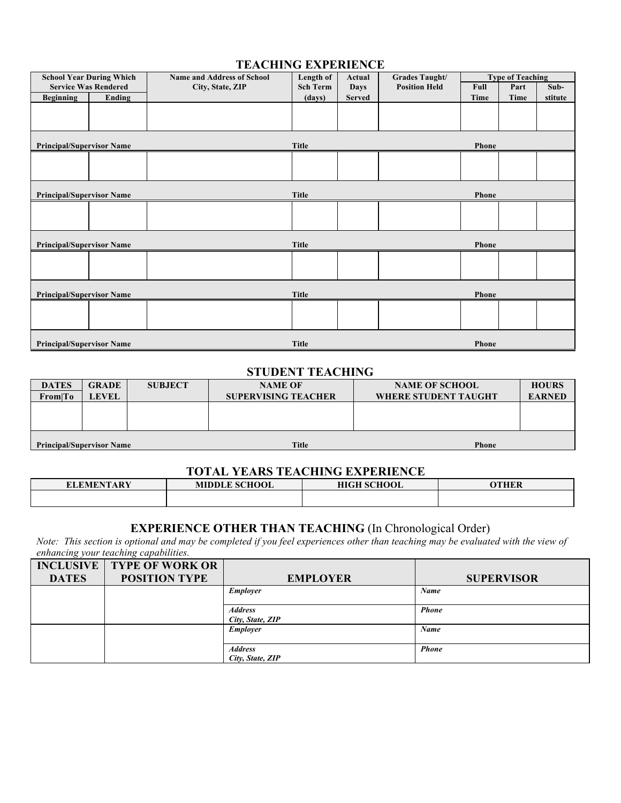#### **TEACHING EXPERIENCE**

| <b>School Year During Which</b>  |                             | <b>Name and Address of School</b> | Length of       | Actual        | Grades Taught/       |              | <b>Type of Teaching</b> |         |
|----------------------------------|-----------------------------|-----------------------------------|-----------------|---------------|----------------------|--------------|-------------------------|---------|
|                                  | <b>Service Was Rendered</b> | City, State, ZIP                  | <b>Sch Term</b> | <b>Days</b>   | <b>Position Held</b> | Full         | Part                    | Sub-    |
| <b>Beginning</b>                 | Ending                      |                                   | (days)          | <b>Served</b> |                      | Time         | Time                    | stitute |
|                                  |                             |                                   |                 |               |                      |              |                         |         |
|                                  |                             |                                   |                 |               |                      |              |                         |         |
|                                  |                             |                                   |                 |               |                      |              |                         |         |
| <b>Principal/Supervisor Name</b> |                             |                                   | Title           |               |                      | Phone        |                         |         |
|                                  |                             |                                   |                 |               |                      |              |                         |         |
|                                  |                             |                                   |                 |               |                      |              |                         |         |
|                                  |                             |                                   |                 |               |                      |              |                         |         |
|                                  |                             |                                   |                 |               |                      |              |                         |         |
| <b>Principal/Supervisor Name</b> |                             |                                   | Title           |               |                      | <b>Phone</b> |                         |         |
|                                  |                             |                                   |                 |               |                      |              |                         |         |
|                                  |                             |                                   |                 |               |                      |              |                         |         |
|                                  |                             |                                   |                 |               |                      |              |                         |         |
| <b>Principal/Supervisor Name</b> |                             |                                   | Title           |               |                      | Phone        |                         |         |
|                                  |                             |                                   |                 |               |                      |              |                         |         |
|                                  |                             |                                   |                 |               |                      |              |                         |         |
|                                  |                             |                                   |                 |               |                      |              |                         |         |
|                                  |                             |                                   |                 |               |                      |              |                         |         |
| <b>Principal/Supervisor Name</b> |                             |                                   | Title           |               |                      | Phone        |                         |         |
|                                  |                             |                                   |                 |               |                      |              |                         |         |
|                                  |                             |                                   |                 |               |                      |              |                         |         |
|                                  |                             |                                   |                 |               |                      |              |                         |         |
| <b>Principal/Supervisor Name</b> |                             |                                   | <b>Title</b>    |               |                      | <b>Phone</b> |                         |         |

#### **STUDENT TEACHING**

| <b>DATES</b>                     | <b>GRADE</b> | <b>SUBJECT</b> | <b>NAME OF</b>             | <b>NAME OF SCHOOL</b>       | <b>HOURS</b>  |
|----------------------------------|--------------|----------------|----------------------------|-----------------------------|---------------|
| From To                          | <b>LEVEL</b> |                | <b>SUPERVISING TEACHER</b> | <b>WHERE STUDENT TAUGHT</b> | <b>EARNED</b> |
|                                  |              |                |                            |                             |               |
|                                  |              |                |                            |                             |               |
|                                  |              |                |                            |                             |               |
| <b>Principal/Supervisor Name</b> |              |                | <b>Title</b>               | <b>Phone</b>                |               |

## **TOTAL YEARS TEACHING EXPERIENCE**

| <b>ELEMENTARY</b> | <b>MIDDLE SCHOOL</b> | <b>HIGH SCHOOL</b> | YTHER |  |  |  |
|-------------------|----------------------|--------------------|-------|--|--|--|
|                   |                      |                    |       |  |  |  |

#### **EXPERIENCE OTHER THAN TEACHING** (In Chronological Order)

*Note: This section is optional and may be completed if you feel experiences other than teaching may be evaluated with the view of enhancing your teaching capabilities.*

|              | <b>INCLUSIVE   TYPE OF WORK OR</b> |                  |                   |
|--------------|------------------------------------|------------------|-------------------|
| <b>DATES</b> | <b>POSITION TYPE</b>               | <b>EMPLOYER</b>  | <b>SUPERVISOR</b> |
|              |                                    | Employer         | Name              |
|              |                                    |                  |                   |
|              |                                    | <b>Address</b>   | <b>Phone</b>      |
|              |                                    | City, State, ZIP |                   |
|              |                                    | Employer         | Name              |
|              |                                    |                  |                   |
|              |                                    | <b>Address</b>   | <b>Phone</b>      |
|              |                                    | City, State, ZIP |                   |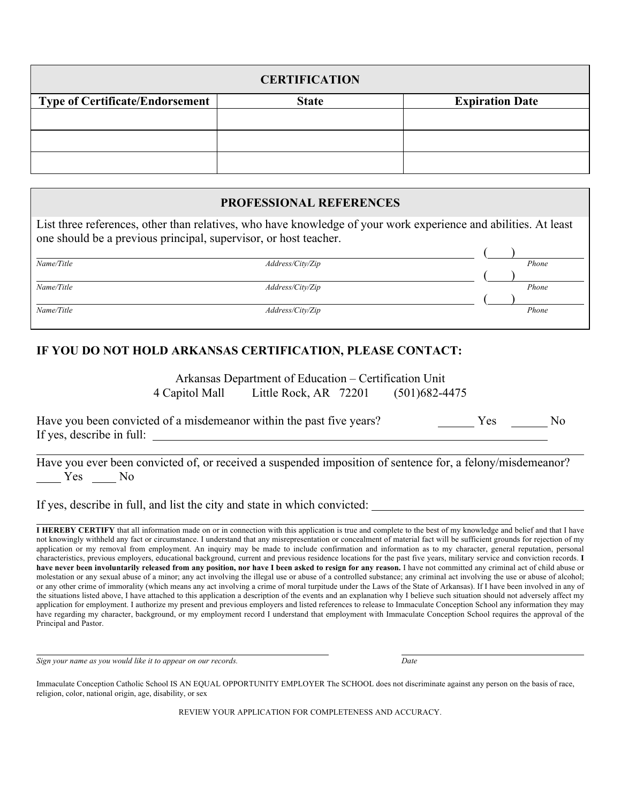| <b>CERTIFICATION</b>                   |              |                        |  |  |
|----------------------------------------|--------------|------------------------|--|--|
| <b>Type of Certificate/Endorsement</b> | <b>State</b> | <b>Expiration Date</b> |  |  |
|                                        |              |                        |  |  |
|                                        |              |                        |  |  |
|                                        |              |                        |  |  |

#### **PROFESSIONAL REFERENCES**

List three references, other than relatives, who have knowledge of your work experience and abilities. At least one should be a previous principal, supervisor, or host teacher.

| Name/Title | Address/City/Zip | Phone |
|------------|------------------|-------|
|            |                  |       |
| Name/Title | Address/City/Zip | Phone |
|            |                  |       |
| Name/Title | Address/City/Zip | Phone |
|            |                  |       |

## **IF YOU DO NOT HOLD ARKANSAS CERTIFICATION, PLEASE CONTACT:**

Arkansas Department of Education – Certification Unit 4 Capitol Mall Little Rock, AR 72201 (501)682-4475

Have you been convicted of a misdemeanor within the past five years? Yes \_\_\_\_\_\_\_\_ Yes \_\_\_\_\_\_\_\_ No If yes, describe in full:

Have you ever been convicted of, or received a suspended imposition of sentence for, a felony/misdemeanor? Yes No

If yes, describe in full, and list the city and state in which convicted:

**I HEREBY CERTIFY** that all information made on or in connection with this application is true and complete to the best of my knowledge and belief and that I have not knowingly withheld any fact or circumstance. I understand that any misrepresentation or concealment of material fact will be sufficient grounds for rejection of my application or my removal from employment. An inquiry may be made to include confirmation and information as to my character, general reputation, personal characteristics, previous employers, educational background, current and previous residence locations for the past five years, military service and conviction records. **I have never been involuntarily released from any position, nor have I been asked to resign for any reason.** I have not committed any criminal act of child abuse or molestation or any sexual abuse of a minor; any act involving the illegal use or abuse of a controlled substance; any criminal act involving the use or abuse of alcohol; or any other crime of immorality (which means any act involving a crime of moral turpitude under the Laws of the State of Arkansas). If I have been involved in any of the situations listed above, I have attached to this application a description of the events and an explanation why I believe such situation should not adversely affect my application for employment. I authorize my present and previous employers and listed references to release to Immaculate Conception School any information they may have regarding my character, background, or my employment record I understand that employment with Immaculate Conception School requires the approval of the Principal and Pastor.

*Sign your name as you would like it to appear on our records. Date*

Immaculate Conception Catholic School IS AN EQUAL OPPORTUNITY EMPLOYER The SCHOOL does not discriminate against any person on the basis of race, religion, color, national origin, age, disability, or sex

REVIEW YOUR APPLICATION FOR COMPLETENESS AND ACCURACY.